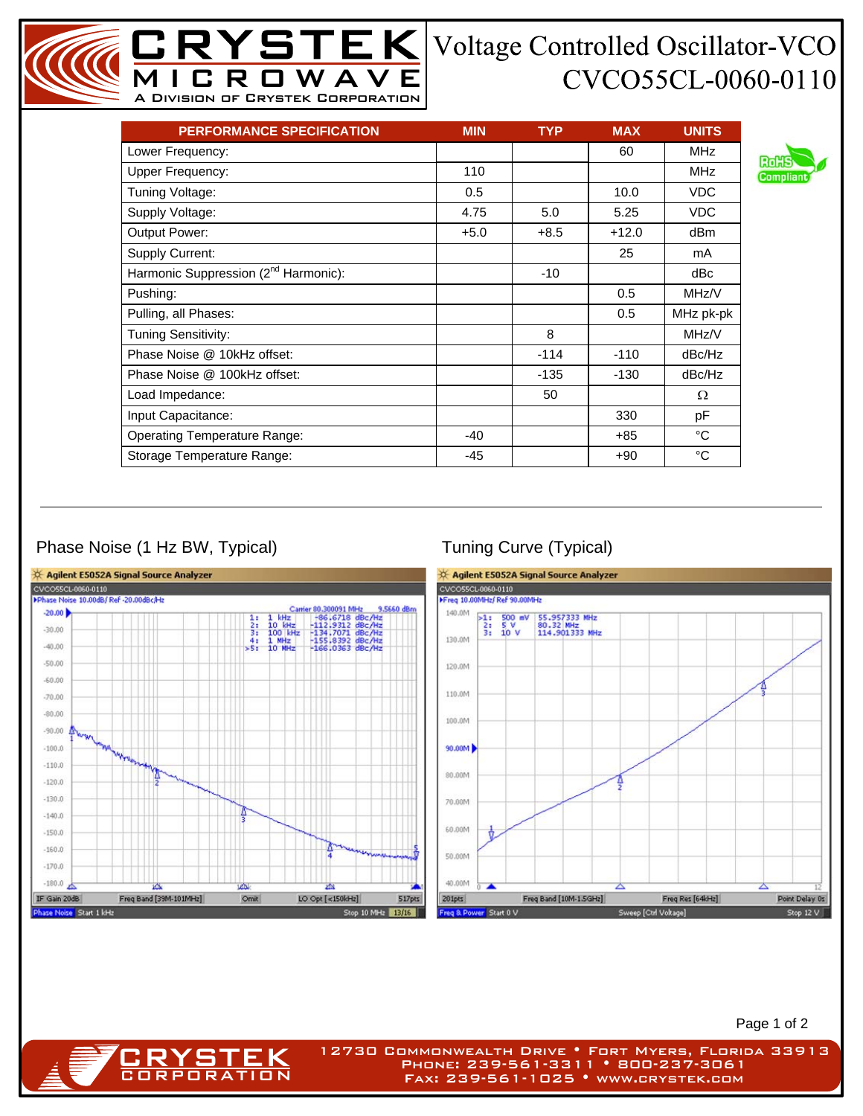## CVCO55CL-0060-0110

| <b>PERFORMANCE SPECIFICATION</b>                 | <b>MIN</b> | <b>TYP</b> | <b>MAX</b> | <b>UNITS</b> |
|--------------------------------------------------|------------|------------|------------|--------------|
| Lower Frequency:                                 |            |            | 60         | <b>MHz</b>   |
| <b>Upper Frequency:</b>                          | 110        |            |            | <b>MHz</b>   |
| Tuning Voltage:                                  | 0.5        |            | 10.0       | <b>VDC</b>   |
| Supply Voltage:                                  | 4.75       | 5.0        | 5.25       | <b>VDC</b>   |
| Output Power:                                    | $+5.0$     | $+8.5$     | $+12.0$    | dBm          |
| Supply Current:                                  |            |            | 25         | mA           |
| Harmonic Suppression (2 <sup>nd</sup> Harmonic): |            | $-10$      |            | dBc          |
| Pushing:                                         |            |            | 0.5        | MHz/V        |
| Pulling, all Phases:                             |            |            | 0.5        | MHz pk-pk    |
| Tuning Sensitivity:                              |            | 8          |            | MHz/V        |
| Phase Noise @ 10kHz offset:                      |            | $-114$     | $-110$     | dBc/Hz       |
| Phase Noise @ 100kHz offset:                     |            | $-135$     | -130       | dBc/Hz       |
| Load Impedance:                                  |            | 50         |            | Ω            |
| Input Capacitance:                               |            |            | 330        | рF           |
| <b>Operating Temperature Range:</b>              | $-40$      |            | +85        | °C           |
| Storage Temperature Range:                       | -45        |            | $+90$      | °C           |

MICROWAVE A Division of Crystek Corporation

## Phase Noise (1 Hz BW, Typical) Tuning Curve (Typical)

**CRYSTEK** 



Page 1 of 2

12730 Commonwealth Drive • Fort Myers, Florida 33913 Phone: 239-561-3311 • 800-237-3061 Fax: 239-561-1025 • www.crystek.com